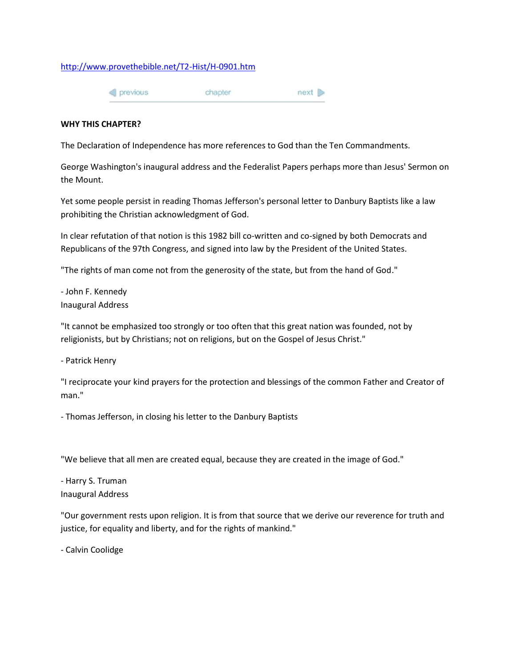# http://www.provethebible.net/T2-Hist/H-0901.htm

previous chapter  $next$ 

### **WHY THIS CHAPTER?**

The Declaration of Independence has more references to God than the Ten Commandments.

George Washington's inaugural address and the Federalist Papers perhaps more than Jesus' Sermon on the Mount.

Yet some people persist in reading Thomas Jefferson's personal letter to Danbury Baptists like a law prohibiting the Christian acknowledgment of God.

In clear refutation of that notion is this 1982 bill co-written and co-signed by both Democrats and Republicans of the 97th Congress, and signed into law by the President of the United States.

"The rights of man come not from the generosity of the state, but from the hand of God."

- John F. Kennedy Inaugural Address

"It cannot be emphasized too strongly or too often that this great nation was founded, not by religionists, but by Christians; not on religions, but on the Gospel of Jesus Christ."

- Patrick Henry

"I reciprocate your kind prayers for the protection and blessings of the common Father and Creator of man."

- Thomas Jefferson, in closing his letter to the Danbury Baptists

"We believe that all men are created equal, because they are created in the image of God."

- Harry S. Truman Inaugural Address

"Our government rests upon religion. It is from that source that we derive our reverence for truth and justice, for equality and liberty, and for the rights of mankind."

- Calvin Coolidge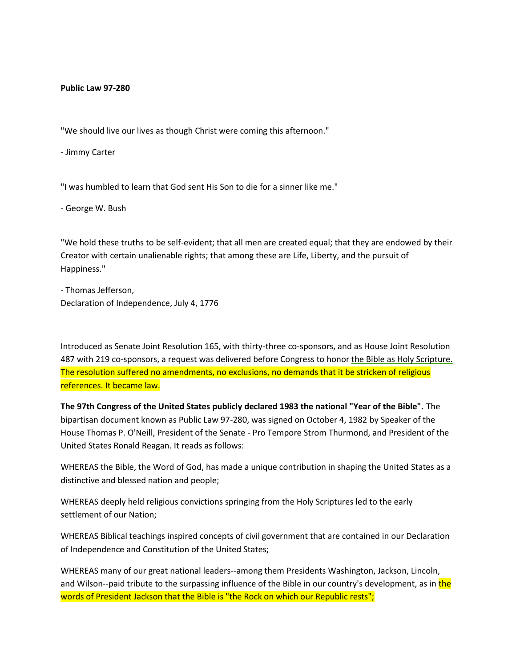$P$ ublic  $L$  $2$  $8097$ 

"We shoubdullivieves as though Christ were coming this afternoon." -Jimmy Carter

"I was humbled to learn that God sent His Son to die for a sinner lik -George W. Bush

"We hold these tru-behysidteonb;eths all men are created deologyue ad; btyhathet inrey Creator with certain unalienable rights; that among these are Life, L Happiness."

-Thomas Jefferson, Declaration of Independence, July 4, 1776

Introduced as Senate Joint Restchluet ees poon 16s50, rsw, it ann the bara y House Joint Re 487 with  $\mathbf{\hat{a}}$   $\mathbf{\hat{b}}$   $\mathbf{\hat{c}}$  responsation request was delivered before Congress to hono The resolution suffered no amioemsd, mneon to be mands that it be stricken of references. It became law.

The 97th Congress of the United States publicly declareTche1983 the n bipartisan document known2 &aOs, Proudosli**s** idurated 907n Out**Gheakler 1**918  $2$ hbe House Thomas P. O'Neill, Pre-Brid eThet mondourlie e SS eon rate Fourmond, and Pres United States Ronald Reagan. It reads as follows:

WHEREAS the Bible, the Word of God, has made a unsque es oanstrabution distinctive and blessed nation and people;

WHEREAS deeply held religious convictions springing from the Holy settlement of our Nation;

WHEREAS Biblical teachings inspired conceptesincefdcinibugno Deeronlmaneanttich of Independence and Constitution of the United States;

WHEREAS many of our gre-aatmrountg ot that limit dearders is a lents Washington, Jacks and Wi-l**san**d tribute to the surpassing influenyc'**s devele** Binnb<mark>elh</mark>e einaeuim co words of President Jackson that the Bible is "the Rock on which our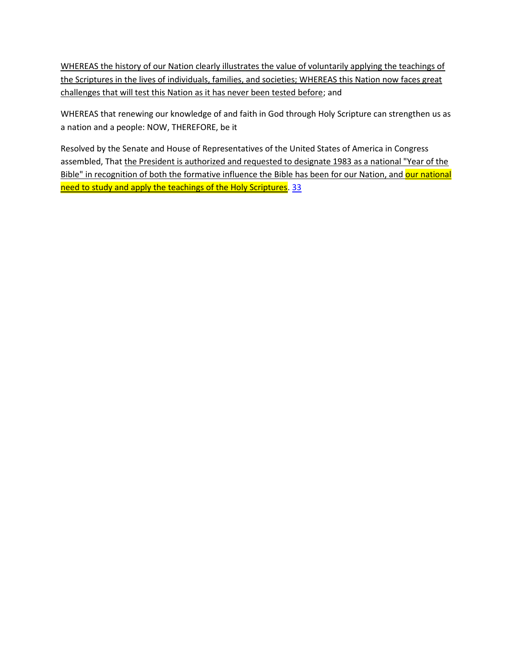WHEREAS the history of our Nation clearly illustrates the value of voluntarily applying the teachings of the Scriptures in the lives of individuals, families, and societies; WHEREAS this Nation now faces great challenges that will test this Nation as it has never been tested before; and

WHEREAS that renewing our knowledge of and faith in God through Holy Scripture can strengthen us as a nation and a people: NOW, THEREFORE, be it

Resolved by the Senate and House of Representatives of the United States of America in Congress assembled, That the President is authorized and requested to designate 1983 as a national "Year of the Bible" in recognition of both the formative influence the Bible has been for our Nation, and our national need to study and apply the teachings of the Holy Scriptures. 33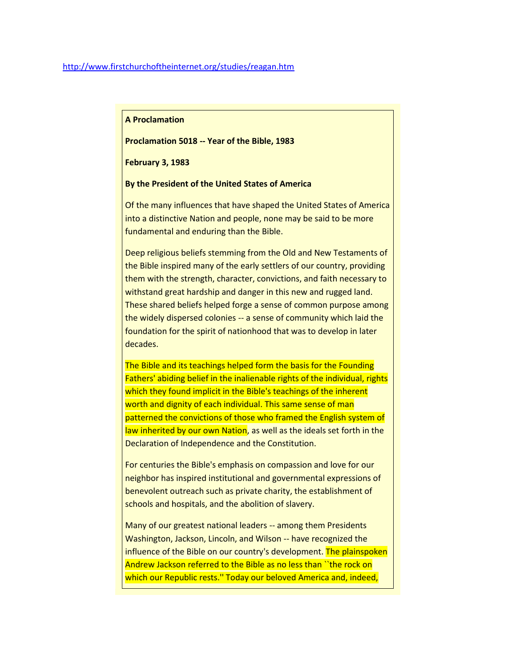#### **A Proclamation**

**Proclamation 5018 -- Year of the Bible, 1983**

**February 3, 1983**

### **By the President of the United States of America**

Of the many influences that have shaped the United States of America into a distinctive Nation and people, none may be said to be more fundamental and enduring than the Bible.

Deep religious beliefs stemming from the Old and New Testaments of the Bible inspired many of the early settlers of our country, providing them with the strength, character, convictions, and faith necessary to withstand great hardship and danger in this new and rugged land. These shared beliefs helped forge a sense of common purpose among the widely dispersed colonies -- a sense of community which laid the foundation for the spirit of nationhood that was to develop in later decades.

The Bible and its teachings helped form the basis for the Founding Fathers' abiding belief in the inalienable rights of the individual, rights which they found implicit in the Bible's teachings of the inherent worth and dignity of each individual. This same sense of man patterned the convictions of those who framed the English system of law inherited by our own Nation, as well as the ideals set forth in the Declaration of Independence and the Constitution.

For centuries the Bible's emphasis on compassion and love for our neighbor has inspired institutional and governmental expressions of benevolent outreach such as private charity, the establishment of schools and hospitals, and the abolition of slavery.

Many of our greatest national leaders -- among them Presidents Washington, Jackson, Lincoln, and Wilson -- have recognized the influence of the Bible on our country's development. The plainspoken Andrew Jackson referred to the Bible as no less than ``the rock on which our Republic rests." Today our beloved America and, indeed,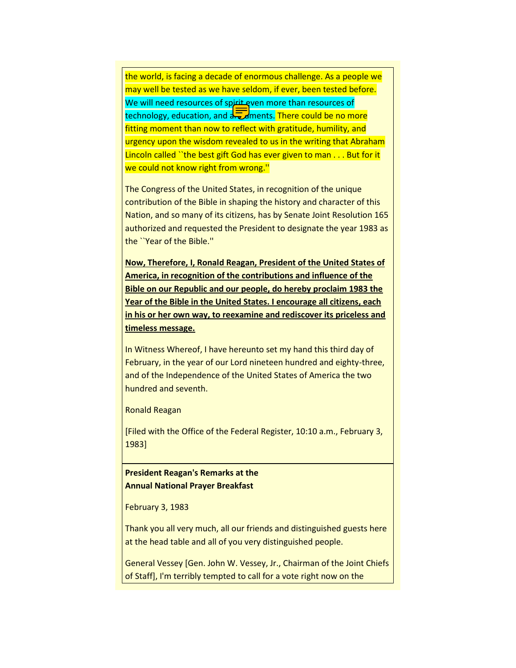the world, is facing a decade of enolrem we may well be tested as we have seldom, in We will need resources of spirit even mo technology, education, anned rearmonaumlobe obtes.no fitting moment than now to reflect awnidh g urgency upon the wisdom revealed to us Lincoln called ``the best gift God has ev we could not know right from wrong.''

The Congress of the United States, in re contriboun of the Bible in shaping the hist Nation, and so many of its citizens, has authorized and requested the President the ``Year of the Bible.''

Now, Therefored, ReaRopanna, President of the United States of the United States of the United States of the U America, in recognition of the contributi Bible on our Republic and our people,  $d \cdot$ Year of the Bible in the United States. I in hish or own way, to reexamine and redi timeless message.

In Witness Whereof, I have hereunto set February, in the year of our Lord nitheted and of the Independence eosf othe A to he itied S hundred and seventh.

Ronald Reagan

[Filed with the Office of the Federal Reg 1983]

President Reagan's Remarks at the Annual National Prayer Breakfast

February 3, 1983

Thank you all very much, all our friends at the head table and all of you very dis

General Vessey [Gen. John W. Vessey, John Chiefs. of Staff], I'm terribly tempted tto coval of oth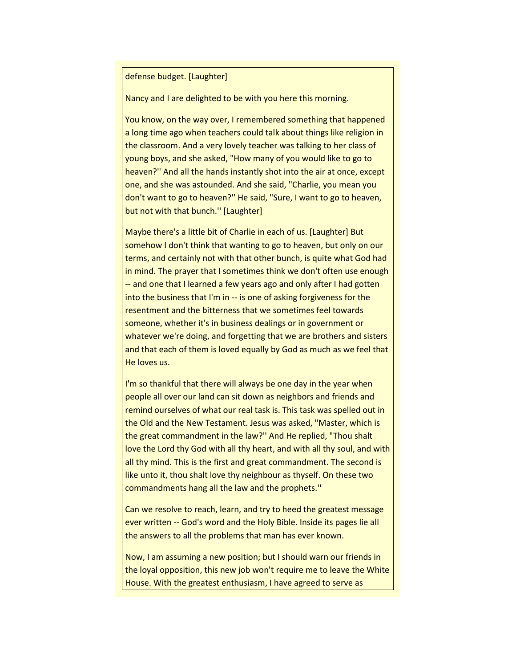# defense budget. [Laughter]

Nancy and I are delighted to be with you here this morning.

You know, on the way over, I remembered something that happened a long time ago when teachers could talk about things like religion in the classroom. And a very lovely teacher was talking to her class of young boys, and she asked, "How many of you would like to go to heaven?'' And all the hands instantly shot into the air at once, except one, and she was astounded. And she said, "Charlie, you mean you don't want to go to heaven?'' He said, "Sure, I want to go to heaven, but not with that bunch.'' [Laughter]

Maybe there's a little bit of Charlie in each of us. [Laughter] But somehow I don't think that wanting to go to heaven, but only on our terms, and certainly not with that other bunch, is quite what God had in mind. The prayer that I sometimes think we don't often use enough -- and one that I learned a few years ago and only after I had gotten into the business that I'm in -- is one of asking forgiveness for the resentment and the bitterness that we sometimes feel towards someone, whether it's in business dealings or in government or whatever we're doing, and forgetting that we are brothers and sisters and that each of them is loved equally by God as much as we feel that He loves us.

I'm so thankful that there will always be one day in the year when people all over our land can sit down as neighbors and friends and remind ourselves of what our real task is. This task was spelled out in the Old and the New Testament. Jesus was asked, "Master, which is the great commandment in the law?'' And He replied, "Thou shalt love the Lord thy God with all thy heart, and with all thy soul, and with all thy mind. This is the first and great commandment. The second is like unto it, thou shalt love thy neighbour as thyself. On these two commandments hang all the law and the prophets.''

Can we resolve to reach, learn, and try to heed the greatest message ever written -- God's word and the Holy Bible. Inside its pages lie all the answers to all the problems that man has ever known.

Now, I am assuming a new position; but I should warn our friends in the loyal opposition, this new job won't require me to leave the White House. With the greatest enthusiasm, I have agreed to serve as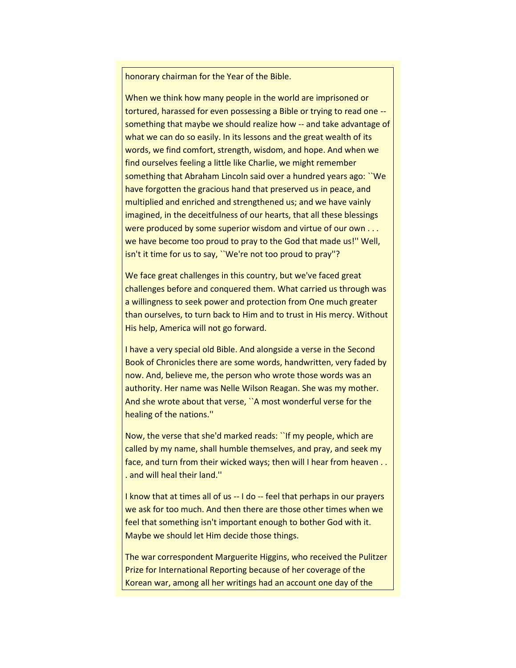honorary chairman for the Year of the Bible.

When we think how many people in the world are imprisoned or tortured, harassed for even possessing a Bible or trying to read one - something that maybe we should realize how -- and take advantage of what we can do so easily. In its lessons and the great wealth of its words, we find comfort, strength, wisdom, and hope. And when we find ourselves feeling a little like Charlie, we might remember something that Abraham Lincoln said over a hundred years ago: ``We have forgotten the gracious hand that preserved us in peace, and multiplied and enriched and strengthened us; and we have vainly imagined, in the deceitfulness of our hearts, that all these blessings were produced by some superior wisdom and virtue of our own . . . we have become too proud to pray to the God that made us!'' Well, isn't it time for us to say, ``We're not too proud to pray''?

We face great challenges in this country, but we've faced great challenges before and conquered them. What carried us through was a willingness to seek power and protection from One much greater than ourselves, to turn back to Him and to trust in His mercy. Without His help, America will not go forward.

I have a very special old Bible. And alongside a verse in the Second Book of Chronicles there are some words, handwritten, very faded by now. And, believe me, the person who wrote those words was an authority. Her name was Nelle Wilson Reagan. She was my mother. And she wrote about that verse, ``A most wonderful verse for the healing of the nations.''

Now, the verse that she'd marked reads: ``If my people, which are called by my name, shall humble themselves, and pray, and seek my face, and turn from their wicked ways; then will I hear from heaven . . . and will heal their land.''

I know that at times all of us -- I do -- feel that perhaps in our prayers we ask for too much. And then there are those other times when we feel that something isn't important enough to bother God with it. Maybe we should let Him decide those things.

The war correspondent Marguerite Higgins, who received the Pulitzer Prize for International Reporting because of her coverage of the Korean war, among all her writings had an account one day of the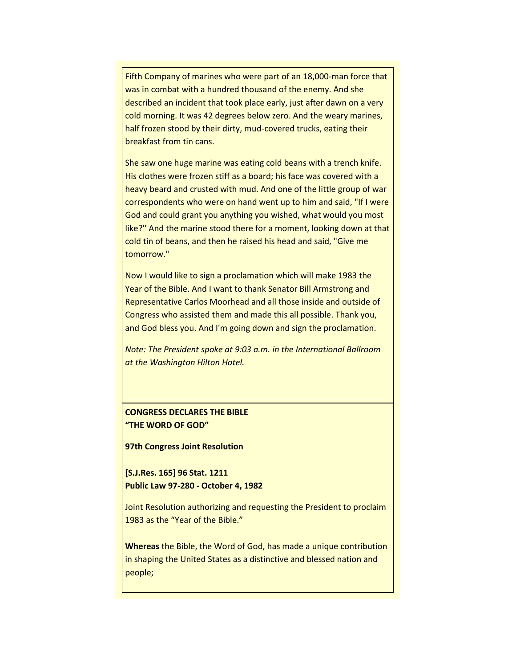Fifth Company of marines who were part of an 18,000-man force that was in combat with a hundred thousand of the enemy. And she described an incident that took place early, just after dawn on a very cold morning. It was 42 degrees below zero. And the weary marines, half frozen stood by their dirty, mud-covered trucks, eating their breakfast from tin cans.

She saw one huge marine was eating cold beans with a trench knife. His clothes were frozen stiff as a board; his face was covered with a heavy beard and crusted with mud. And one of the little group of war correspondents who were on hand went up to him and said, "If I were God and could grant you anything you wished, what would you most like?'' And the marine stood there for a moment, looking down at that cold tin of beans, and then he raised his head and said, "Give me tomorrow.''

Now I would like to sign a proclamation which will make 1983 the Year of the Bible. And I want to thank Senator Bill Armstrong and Representative Carlos Moorhead and all those inside and outside of Congress who assisted them and made this all possible. Thank you, and God bless you. And I'm going down and sign the proclamation.

*Note: The President spoke at 9:03 a.m. in the International Ballroom at the Washington Hilton Hotel.*

# **CONGRESS DECLARES THE BIBLE "THE WORD OF GOD"**

**97th Congress Joint Resolution**

**[S.J.Res. 165] 96 Stat. 1211 Public Law 97-280 - October 4, 1982**

Joint Resolution authorizing and requesting the President to proclaim 1983 as the "Year of the Bible."

**Whereas** the Bible, the Word of God, has made a unique contribution in shaping the United States as a distinctive and blessed nation and people;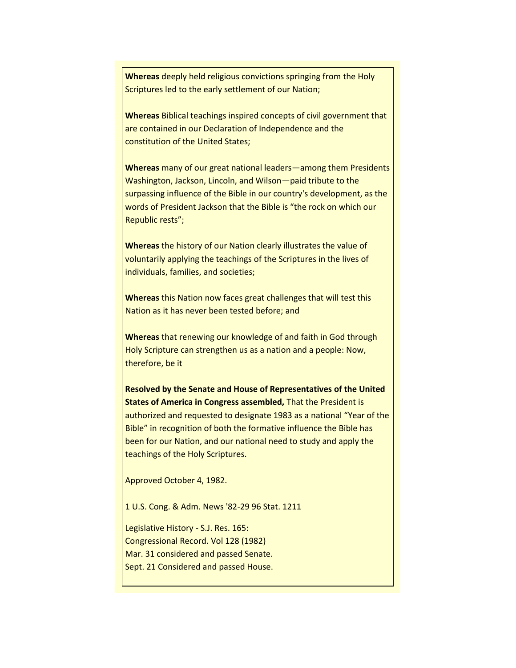**Whereas** deeply held religious convictions springing from the Holy Scriptures led to the early settlement of our Nation;

**Whereas** Biblical teachings inspired concepts of civil government that are contained in our Declaration of Independence and the constitution of the United States;

**Whereas** many of our great national leaders—among them Presidents Washington, Jackson, Lincoln, and Wilson—paid tribute to the surpassing influence of the Bible in our country's development, as the words of President Jackson that the Bible is "the rock on which our Republic rests";

**Whereas** the history of our Nation clearly illustrates the value of voluntarily applying the teachings of the Scriptures in the lives of individuals, families, and societies;

**Whereas** this Nation now faces great challenges that will test this Nation as it has never been tested before; and

**Whereas** that renewing our knowledge of and faith in God through Holy Scripture can strengthen us as a nation and a people: Now, therefore, be it

**Resolved by the Senate and House of Representatives of the United States of America in Congress assembled,** That the President is authorized and requested to designate 1983 as a national "Year of the Bible" in recognition of both the formative influence the Bible has been for our Nation, and our national need to study and apply the teachings of the Holy Scriptures.

Approved October 4, 1982.

1 U.S. Cong. & Adm. News '82-29 96 Stat. 1211

Legislative History - S.J. Res. 165: Congressional Record. Vol 128 (1982) Mar. 31 considered and passed Senate. Sept. 21 Considered and passed House.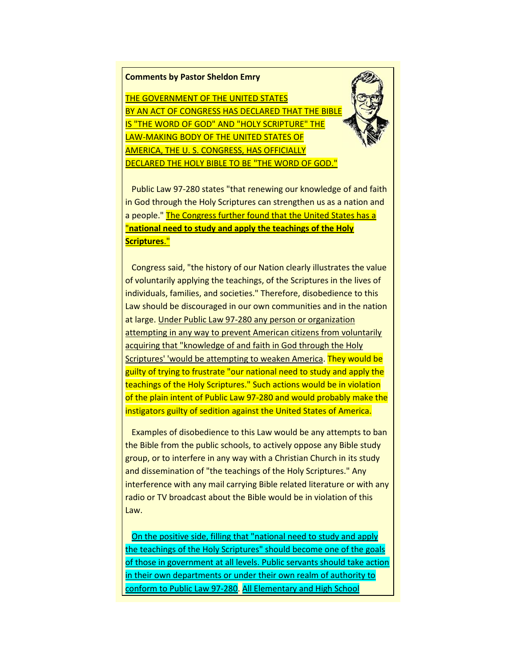# **Comments by Pastor Sheldon Emry**

THE GOVERNMENT OF THE UNITED STATES BY AN ACT OF CONGRESS HAS DECLARED THAT THE BIBLE IS "THE WORD OF GOD" AND "HOLY SCRIPTURE" THE LAW-MAKING BODY OF THE UNITED STATES OF AMERICA, THE U. S. CONGRESS, HAS OFFICIALLY DECLARED THE HOLY BIBLE TO BE "THE WORD OF GOD."

Public Law 97-280 states "that renewing our knowledge of and faith in God through the Holy Scriptures can strengthen us as a nation and a people." The Congress further found that the United States has a "**national need to study and apply the teachings of the Holy Scriptures**."

Congress said, "the history of our Nation clearly illustrates the value of voluntarily applying the teachings, of the Scriptures in the lives of individuals, families, and societies." Therefore, disobedience to this Law should be discouraged in our own communities and in the nation at large. Under Public Law 97-280 any person or organization attempting in any way to prevent American citizens from voluntarily acquiring that "knowledge of and faith in God through the Holy Scriptures' 'would be attempting to weaken America. They would be guilty of trying to frustrate "our national need to study and apply the teachings of the Holy Scriptures." Such actions would be in violation of the plain intent of Public Law 97-280 and would probably make the instigators guilty of sedition against the United States of America.

Examples of disobedience to this Law would be any attempts to ban the Bible from the public schools, to actively oppose any Bible study group, or to interfere in any way with a Christian Church in its study and dissemination of "the teachings of the Holy Scriptures." Any interference with any mail carrying Bible related literature or with any radio or TV broadcast about the Bible would be in violation of this Law.

On the positive side, filling that "national need to study and apply the teachings of the Holy Scriptures" should become one of the goals of those in government at all levels. Public servants should take action in their own departments or under their own realm of authority to conform to Public Law 97-280. All Elementary and High School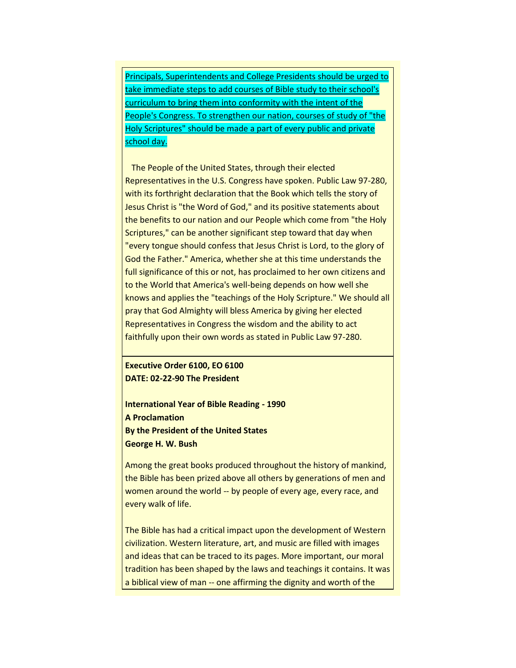Principals, Superintendents and College Presidents should be urged to take immediate steps to add courses of Bible study to their school's curriculum to bring them into conformity with the intent of the People's Congress. To strengthen our nation, courses of study of "the Holy Scriptures" should be made a part of every public and private school day.

The People of the United States, through their elected Representatives in the U.S. Congress have spoken. Public Law 97-280, with its forthright declaration that the Book which tells the story of Jesus Christ is "the Word of God," and its positive statements about the benefits to our nation and our People which come from "the Holy Scriptures," can be another significant step toward that day when "every tongue should confess that Jesus Christ is Lord, to the glory of God the Father." America, whether she at this time understands the full significance of this or not, has proclaimed to her own citizens and to the World that America's well-being depends on how well she knows and applies the "teachings of the Holy Scripture." We should all pray that God Almighty will bless America by giving her elected Representatives in Congress the wisdom and the ability to act faithfully upon their own words as stated in Public Law 97-280.

**Executive Order 6100, EO 6100 DATE: 02-22-90 The President**

**International Year of Bible Reading - 1990 A Proclamation By the President of the United States George H. W. Bush**

Among the great books produced throughout the history of mankind, the Bible has been prized above all others by generations of men and women around the world -- by people of every age, every race, and every walk of life.

The Bible has had a critical impact upon the development of Western civilization. Western literature, art, and music are filled with images and ideas that can be traced to its pages. More important, our moral tradition has been shaped by the laws and teachings it contains. It was a biblical view of man -- one affirming the dignity and worth of the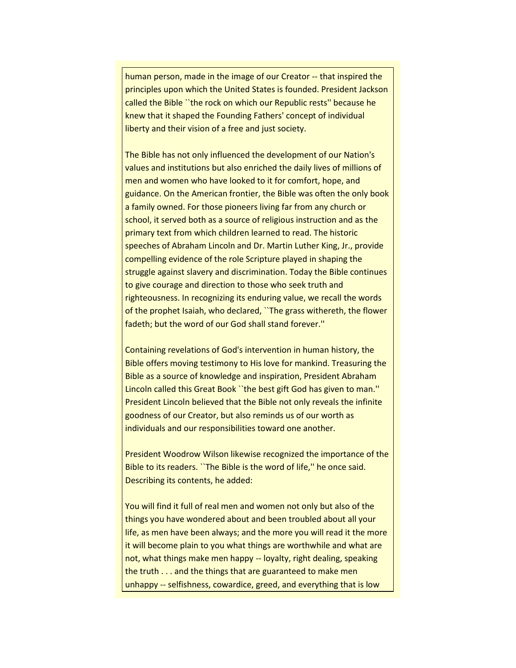human person, made in the image of our Creator -- that inspired the principles upon which the United States is founded. President Jackson called the Bible ``the rock on which our Republic rests'' because he knew that it shaped the Founding Fathers' concept of individual liberty and their vision of a free and just society.

The Bible has not only influenced the development of our Nation's values and institutions but also enriched the daily lives of millions of men and women who have looked to it for comfort, hope, and guidance. On the American frontier, the Bible was often the only book a family owned. For those pioneers living far from any church or school, it served both as a source of religious instruction and as the primary text from which children learned to read. The historic speeches of Abraham Lincoln and Dr. Martin Luther King, Jr., provide compelling evidence of the role Scripture played in shaping the struggle against slavery and discrimination. Today the Bible continues to give courage and direction to those who seek truth and righteousness. In recognizing its enduring value, we recall the words of the prophet Isaiah, who declared, ``The grass withereth, the flower fadeth; but the word of our God shall stand forever.''

Containing revelations of God's intervention in human history, the Bible offers moving testimony to His love for mankind. Treasuring the Bible as a source of knowledge and inspiration, President Abraham Lincoln called this Great Book ``the best gift God has given to man.'' President Lincoln believed that the Bible not only reveals the infinite goodness of our Creator, but also reminds us of our worth as individuals and our responsibilities toward one another.

President Woodrow Wilson likewise recognized the importance of the Bible to its readers. ``The Bible is the word of life,'' he once said. Describing its contents, he added:

You will find it full of real men and women not only but also of the things you have wondered about and been troubled about all your life, as men have been always; and the more you will read it the more it will become plain to you what things are worthwhile and what are not, what things make men happy -- loyalty, right dealing, speaking the truth . . . and the things that are guaranteed to make men unhappy -- selfishness, cowardice, greed, and everything that is low